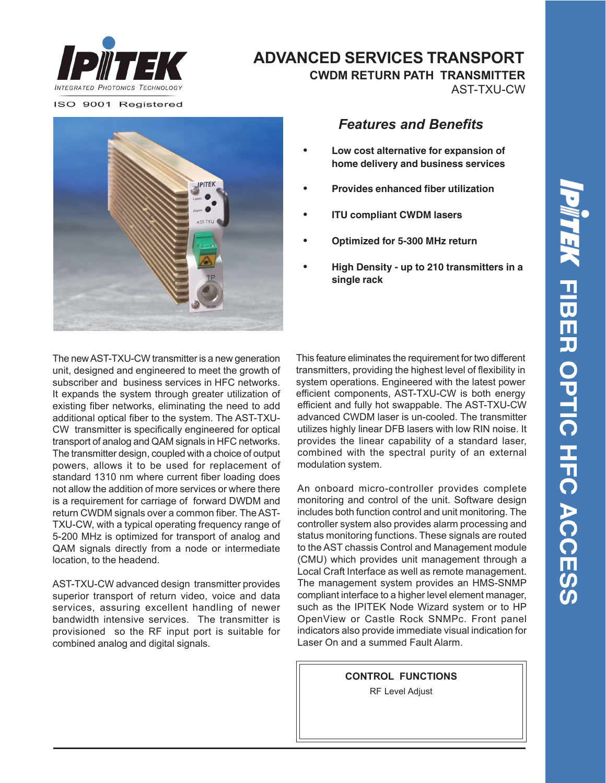

ISO 9001 Registered

# **ADVANCED SERVICES TRANSPORT**

**CWDM RETURN PATH TRANSMITTER**

AST-TXU-CW



### *Features and Benefits*

- **• Low cost alternative for expansion of home delivery and business services**
- **• Provides enhanced fiber utilization**
- **• ITU compliant CWDM lasers**
- **• Optimized for 5-300 MHz return**
- **• High Density up to 210 transmitters in a single rack**

The new AST-TXU-CW transmitter is a new generation unit, designed and engineered to meet the growth of subscriber and business services in HFC networks. It expands the system through greater utilization of existing fiber networks, eliminating the need to add additional optical fiber to the system. The AST-TXU-CW transmitter is specifically engineered for optical transport of analog and QAM signals in HFC networks. The transmitter design, coupled with a choice of output powers, allows it to be used for replacement of standard 1310 nm where current fiber loading does not allow the addition of more services or where there is a requirement for carriage of forward DWDM and return CWDM signals over a common fiber. The AST-TXU-CW, with a typical operating frequency range of 5-200 MHz is optimized for transport of analog and QAM signals directly from a node or intermediate location, to the headend.

AST-TXU-CW advanced design transmitter provides superior transport of return video, voice and data services, assuring excellent handling of newer bandwidth intensive services. The transmitter is provisioned so the RF input port is suitable for combined analog and digital signals.

efficient and fully hot swappable. The AST-TXU-CW advanced CWDM laser is un-cooled. The transmitter utilizes highly linear DFB lasers with low RIN noise. It provides the linear capability of a standard laser, combined with the spectral purity of an external modulation system. This feature eliminates the requirement for two different transmitters, providing the highest level of flexibility in system operations. Engineered with the latest power efficient components, AST-TXU-CW is both energy

An onboard micro-controller provides complete monitoring and control of the unit. Software design includes both function control and unit monitoring. The controller system also provides alarm processing and status monitoring functions. These signals are routed to the AST chassis Control and Management module (CMU) which provides unit management through a Local Craft Interface as well as remote management. The management system provides an HMS-SNMP compliant interface to a higher level element manager, such as the IPITEK Node Wizard system or to HP OpenView or Castle Rock SNMPc. Front panel indicators also provide immediate visual indication for Laser On and a summed Fault Alarm.

> **CONTROL FUNCTIONS** RF Level Adjust